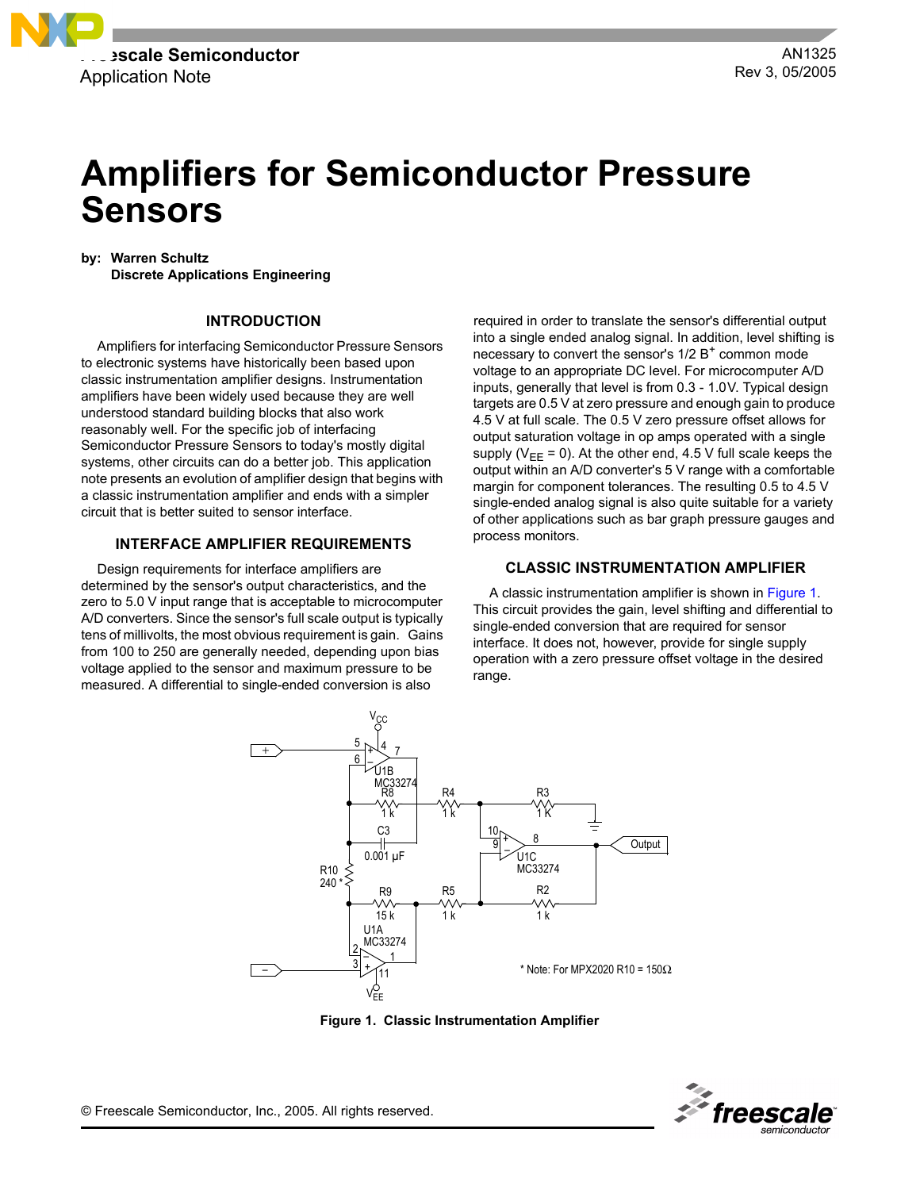

# **Amplifiers for Semiconductor Pressure Sensors**

**by: Warren Schultz**

**Discrete Applications Engineering**

# **INTRODUCTION**

Amplifiers for interfacing Semiconductor Pressure Sensors to electronic systems have historically been based upon classic instrumentation amplifier designs. Instrumentation amplifiers have been widely used because they are well understood standard building blocks that also work reasonably well. For the specific job of interfacing Semiconductor Pressure Sensors to today's mostly digital systems, other circuits can do a better job. This application note presents an evolution of amplifier design that begins with a classic instrumentation amplifier and ends with a simpler circuit that is better suited to sensor interface.

# **INTERFACE AMPLIFIER REQUIREMENTS**

Design requirements for interface amplifiers are determined by the sensor's output characteristics, and the zero to 5.0 V input range that is acceptable to microcomputer A/D converters. Since the sensor's full scale output is typically tens of millivolts, the most obvious requirement is gain. Gains from 100 to 250 are generally needed, depending upon bias voltage applied to the sensor and maximum pressure to be measured. A differential to single-ended conversion is also

required in order to translate the sensor's differential output into a single ended analog signal. In addition, level shifting is necessary to convert the sensor's  $1/2 B<sup>+</sup>$  common mode voltage to an appropriate DC level. For microcomputer A/D inputs, generally that level is from 0.3 - 1.0V. Typical design targets are 0.5 V at zero pressure and enough gain to produce 4.5 V at full scale. The 0.5 V zero pressure offset allows for output saturation voltage in op amps operated with a single supply ( $V_{EE}$  = 0). At the other end, 4.5 V full scale keeps the output within an A/D converter's 5 V range with a comfortable margin for component tolerances. The resulting 0.5 to 4.5 V single-ended analog signal is also quite suitable for a variety of other applications such as bar graph pressure gauges and process monitors.

# **CLASSIC INSTRUMENTATION AMPLIFIER**

A classic instrumentation amplifier is shown in [Figure 1.](#page-0-0) This circuit provides the gain, level shifting and differential to single-ended conversion that are required for sensor interface. It does not, however, provide for single supply operation with a zero pressure offset voltage in the desired range.



**Figure 1. Classic Instrumentation Amplifier**



<span id="page-0-0"></span>© Freescale Semiconductor, Inc., 2005. All rights reserved.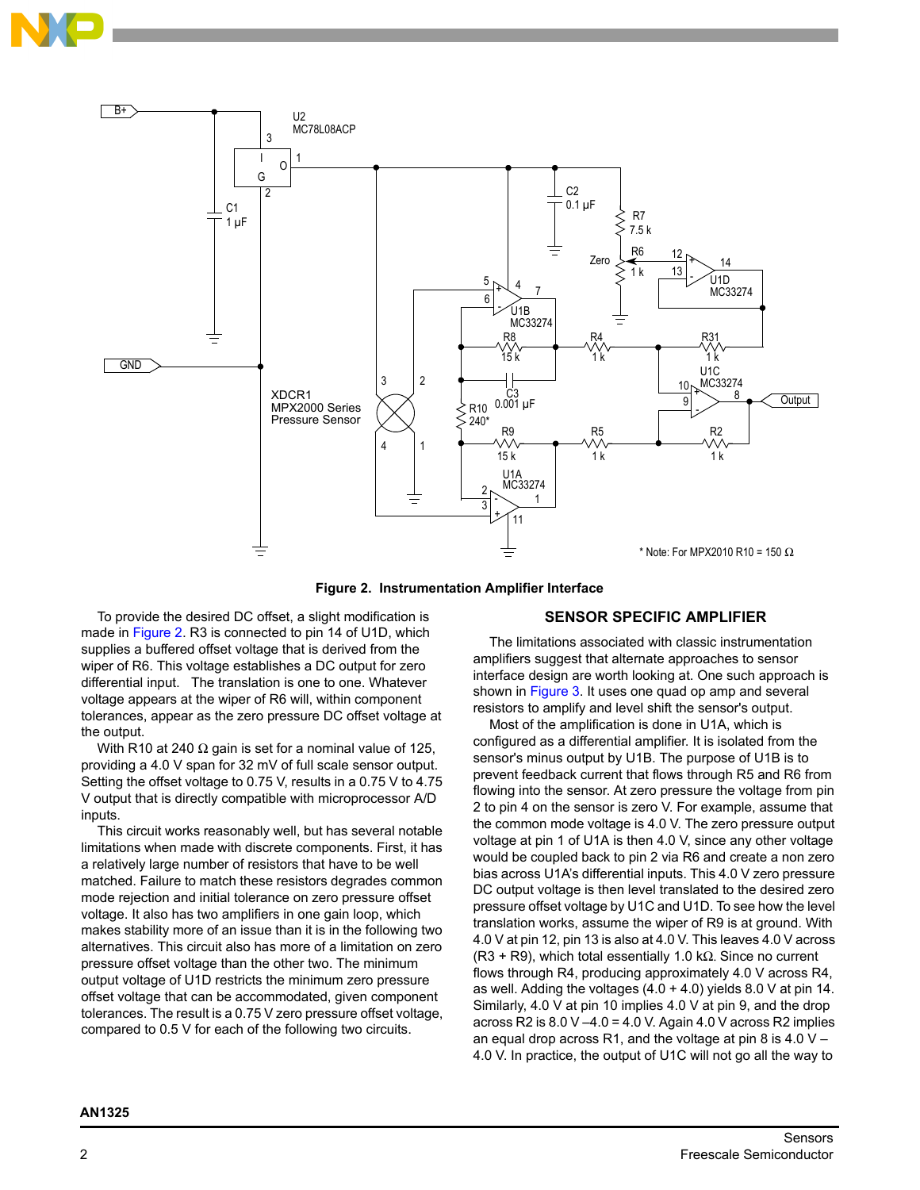



**Figure 2. Instrumentation Amplifier Interface**

<span id="page-1-0"></span>To provide the desired DC offset, a slight modification is made in [Figure 2](#page-1-0). R3 is connected to pin 14 of U1D, which supplies a buffered offset voltage that is derived from the wiper of R6. This voltage establishes a DC output for zero differential input. The translation is one to one. Whatever voltage appears at the wiper of R6 will, within component tolerances, appear as the zero pressure DC offset voltage at the output.

With R10 at 240  $\Omega$  gain is set for a nominal value of 125, providing a 4.0 V span for 32 mV of full scale sensor output. Setting the offset voltage to 0.75 V, results in a 0.75 V to 4.75 V output that is directly compatible with microprocessor A/D inputs.

This circuit works reasonably well, but has several notable limitations when made with discrete components. First, it has a relatively large number of resistors that have to be well matched. Failure to match these resistors degrades common mode rejection and initial tolerance on zero pressure offset voltage. It also has two amplifiers in one gain loop, which makes stability more of an issue than it is in the following two alternatives. This circuit also has more of a limitation on zero pressure offset voltage than the other two. The minimum output voltage of U1D restricts the minimum zero pressure offset voltage that can be accommodated, given component tolerances. The result is a 0.75 V zero pressure offset voltage, compared to 0.5 V for each of the following two circuits.

# **SENSOR SPECIFIC AMPLIFIER**

The limitations associated with classic instrumentation amplifiers suggest that alternate approaches to sensor interface design are worth looking at. One such approach is shown in Figure 3. It uses one quad op amp and several resistors to amplify and level shift the sensor's output.

Most of the amplification is done in U1A, which is configured as a differential amplifier. It is isolated from the sensor's minus output by U1B. The purpose of U1B is to prevent feedback current that flows through R5 and R6 from flowing into the sensor. At zero pressure the voltage from pin 2 to pin 4 on the sensor is zero V. For example, assume that the common mode voltage is 4.0 V. The zero pressure output voltage at pin 1 of U1A is then 4.0 V, since any other voltage would be coupled back to pin 2 via R6 and create a non zero bias across U1A's differential inputs. This 4.0 V zero pressure DC output voltage is then level translated to the desired zero pressure offset voltage by U1C and U1D. To see how the level translation works, assume the wiper of R9 is at ground. With 4.0 V at pin 12, pin 13 is also at 4.0 V. This leaves 4.0 V across (R3 + R9), which total essentially 1.0 k $\Omega$ . Since no current flows through R4, producing approximately 4.0 V across R4, as well. Adding the voltages  $(4.0 + 4.0)$  yields 8.0 V at pin 14. Similarly, 4.0 V at pin 10 implies 4.0 V at pin 9, and the drop across R2 is  $8.0$  V  $-4.0$  = 4.0 V. Again 4.0 V across R2 implies an equal drop across R1, and the voltage at pin 8 is 4.0  $V -$ 4.0 V. In practice, the output of U1C will not go all the way to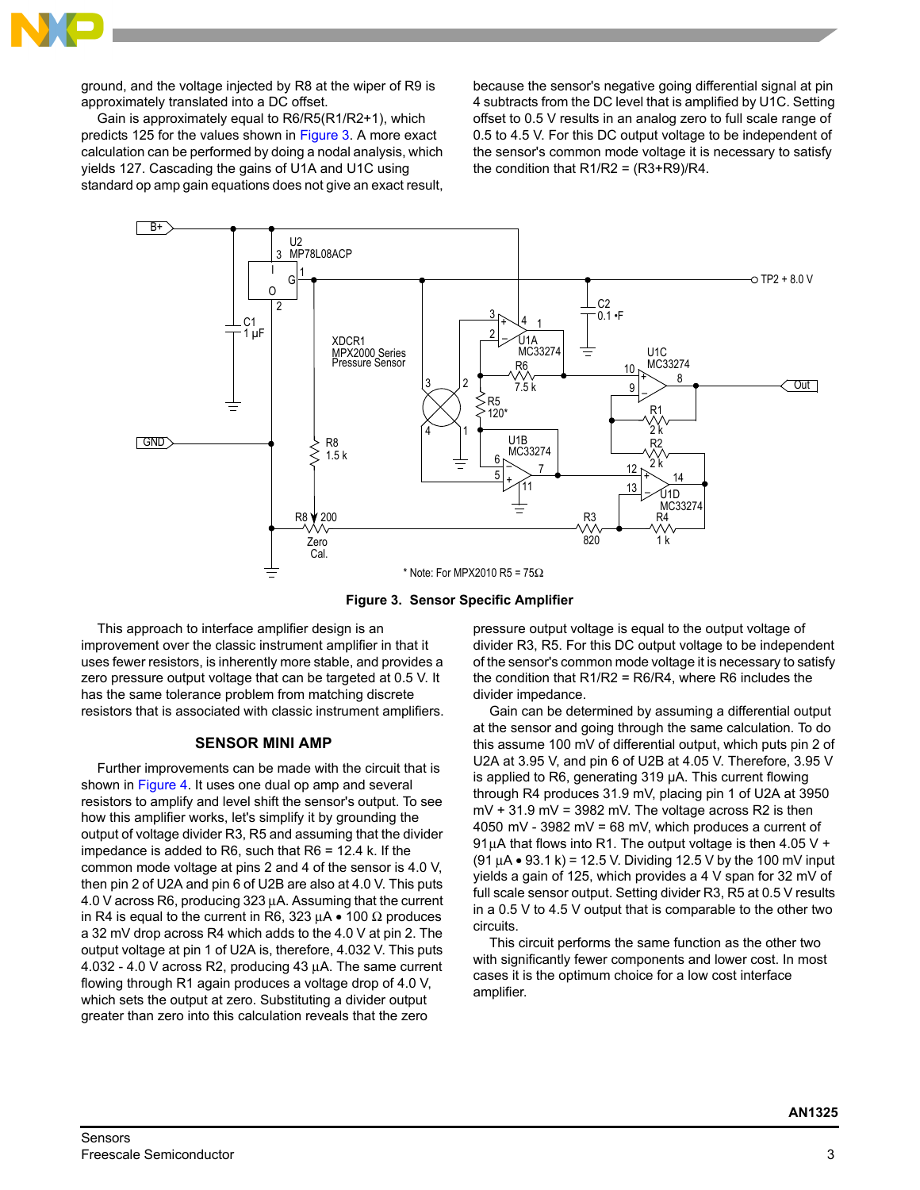

ground, and the voltage injected by R8 at the wiper of R9 is approximately translated into a DC offset.

Gain is approximately equal to R6/R5(R1/R2+1), which predicts 125 for the values shown in Figure 3. A more exact calculation can be performed by doing a nodal analysis, which yields 127. Cascading the gains of U1A and U1C using standard op amp gain equations does not give an exact result, because the sensor's negative going differential signal at pin 4 subtracts from the DC level that is amplified by U1C. Setting offset to 0.5 V results in an analog zero to full scale range of 0.5 to 4.5 V. For this DC output voltage to be independent of the sensor's common mode voltage it is necessary to satisfy the condition that  $R1/R2 = (R3+R9)/R4$ .



**Figure 3. Sensor Specific Amplifier**

This approach to interface amplifier design is an improvement over the classic instrument amplifier in that it uses fewer resistors, is inherently more stable, and provides a zero pressure output voltage that can be targeted at 0.5 V. It has the same tolerance problem from matching discrete resistors that is associated with classic instrument amplifiers.

# **SENSOR MINI AMP**

Further improvements can be made with the circuit that is shown in [Figure 4.](#page-3-0) It uses one dual op amp and several resistors to amplify and level shift the sensor's output. To see how this amplifier works, let's simplify it by grounding the output of voltage divider R3, R5 and assuming that the divider impedance is added to R6, such that  $R6 = 12.4$  k. If the common mode voltage at pins 2 and 4 of the sensor is 4.0 V, then pin 2 of U2A and pin 6 of U2B are also at 4.0 V. This puts 4.0 V across R6, producing 323 µA. Assuming that the current in R4 is equal to the current in R6, 323  $\mu$ A • 100  $\Omega$  produces a 32 mV drop across R4 which adds to the 4.0 V at pin 2. The output voltage at pin 1 of U2A is, therefore, 4.032 V. This puts 4.032 - 4.0 V across R2, producing 43 µA. The same current flowing through R1 again produces a voltage drop of 4.0 V, which sets the output at zero. Substituting a divider output greater than zero into this calculation reveals that the zero

pressure output voltage is equal to the output voltage of divider R3, R5. For this DC output voltage to be independent of the sensor's common mode voltage it is necessary to satisfy the condition that  $R1/R2 = R6/R4$ , where R6 includes the divider impedance.

Gain can be determined by assuming a differential output at the sensor and going through the same calculation. To do this assume 100 mV of differential output, which puts pin 2 of U2A at 3.95 V, and pin 6 of U2B at 4.05 V. Therefore, 3.95 V is applied to R6, generating 319 µA. This current flowing through R4 produces 31.9 mV, placing pin 1 of U2A at 3950  $mV + 31.9$  mV = 3982 mV. The voltage across R2 is then 4050 mV - 3982 mV = 68 mV, which produces a current of 91 $\mu$ A that flows into R1. The output voltage is then 4.05 V + (91  $\mu$ A • 93.1 k) = 12.5 V. Dividing 12.5 V by the 100 mV input yields a gain of 125, which provides a 4 V span for 32 mV of full scale sensor output. Setting divider R3, R5 at 0.5 V results in a 0.5 V to 4.5 V output that is comparable to the other two circuits.

This circuit performs the same function as the other two with significantly fewer components and lower cost. In most cases it is the optimum choice for a low cost interface amplifier.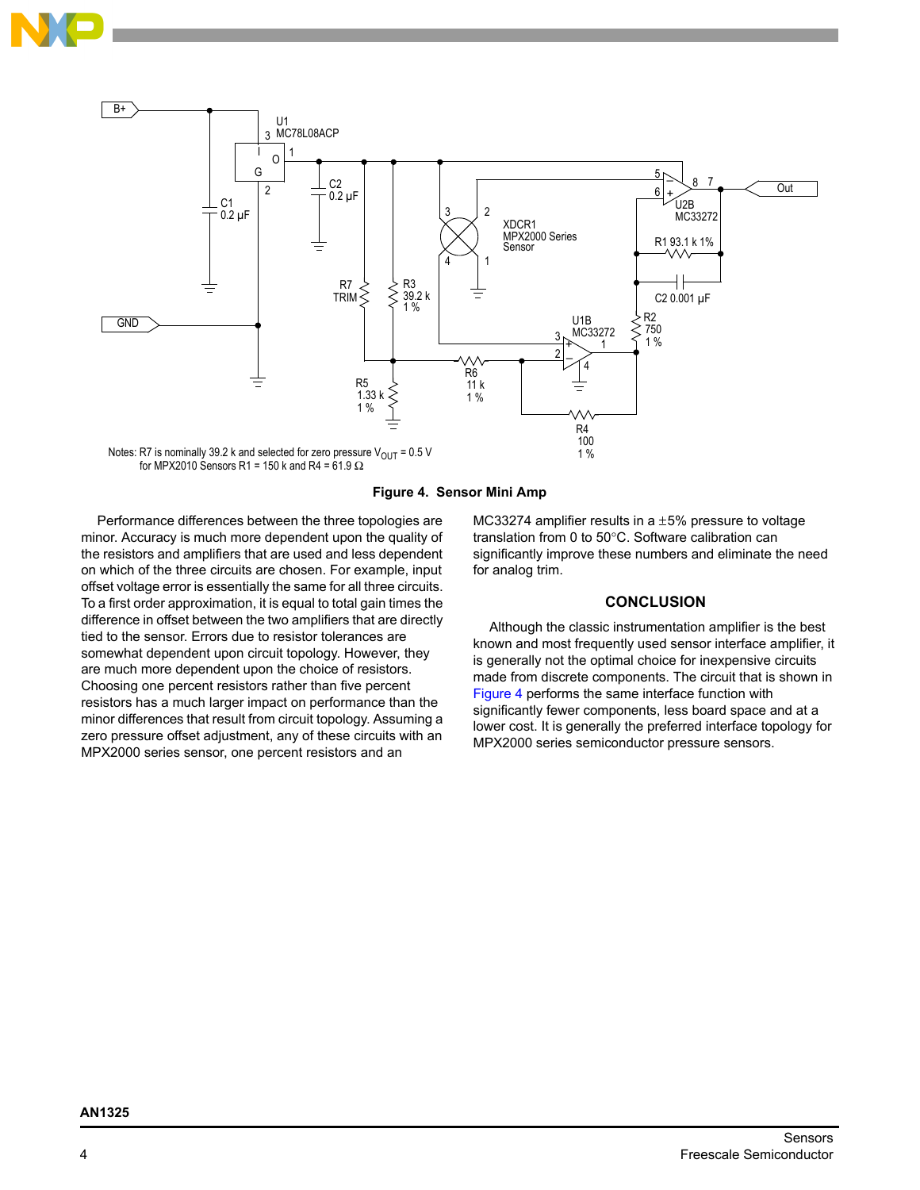



**Figure 4. Sensor Mini Amp**

<span id="page-3-0"></span>Performance differences between the three topologies are minor. Accuracy is much more dependent upon the quality of the resistors and amplifiers that are used and less dependent on which of the three circuits are chosen. For example, input offset voltage error is essentially the same for all three circuits. To a first order approximation, it is equal to total gain times the difference in offset between the two amplifiers that are directly tied to the sensor. Errors due to resistor tolerances are somewhat dependent upon circuit topology. However, they are much more dependent upon the choice of resistors. Choosing one percent resistors rather than five percent resistors has a much larger impact on performance than the minor differences that result from circuit topology. Assuming a zero pressure offset adjustment, any of these circuits with an MPX2000 series sensor, one percent resistors and an

MC33274 amplifier results in a  $\pm$ 5% pressure to voltage translation from 0 to 50°C. Software calibration can significantly improve these numbers and eliminate the need for analog trim.

# **CONCLUSION**

Although the classic instrumentation amplifier is the best known and most frequently used sensor interface amplifier, it is generally not the optimal choice for inexpensive circuits made from discrete components. The circuit that is shown in [Figure 4](#page-3-0) performs the same interface function with significantly fewer components, less board space and at a lower cost. It is generally the preferred interface topology for MPX2000 series semiconductor pressure sensors.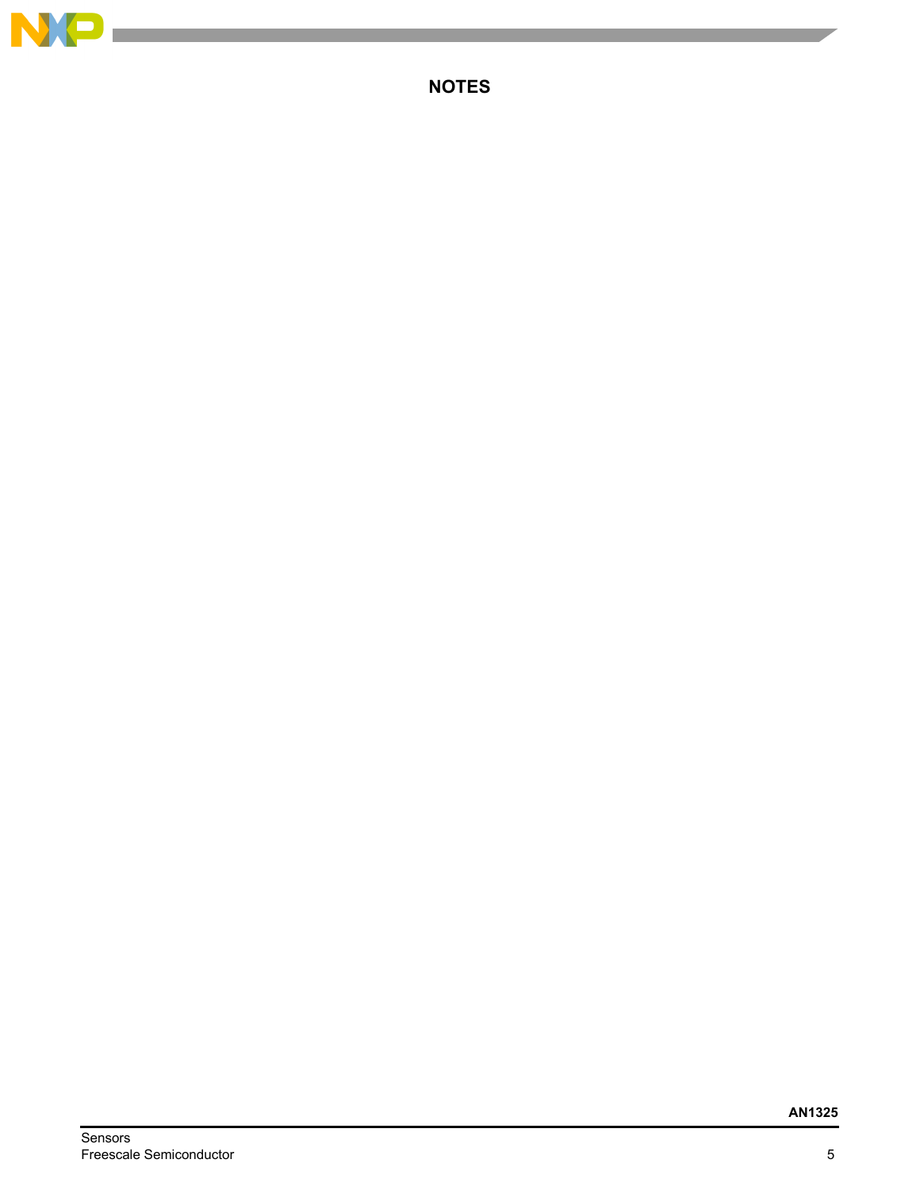

**College** 

**NOTES**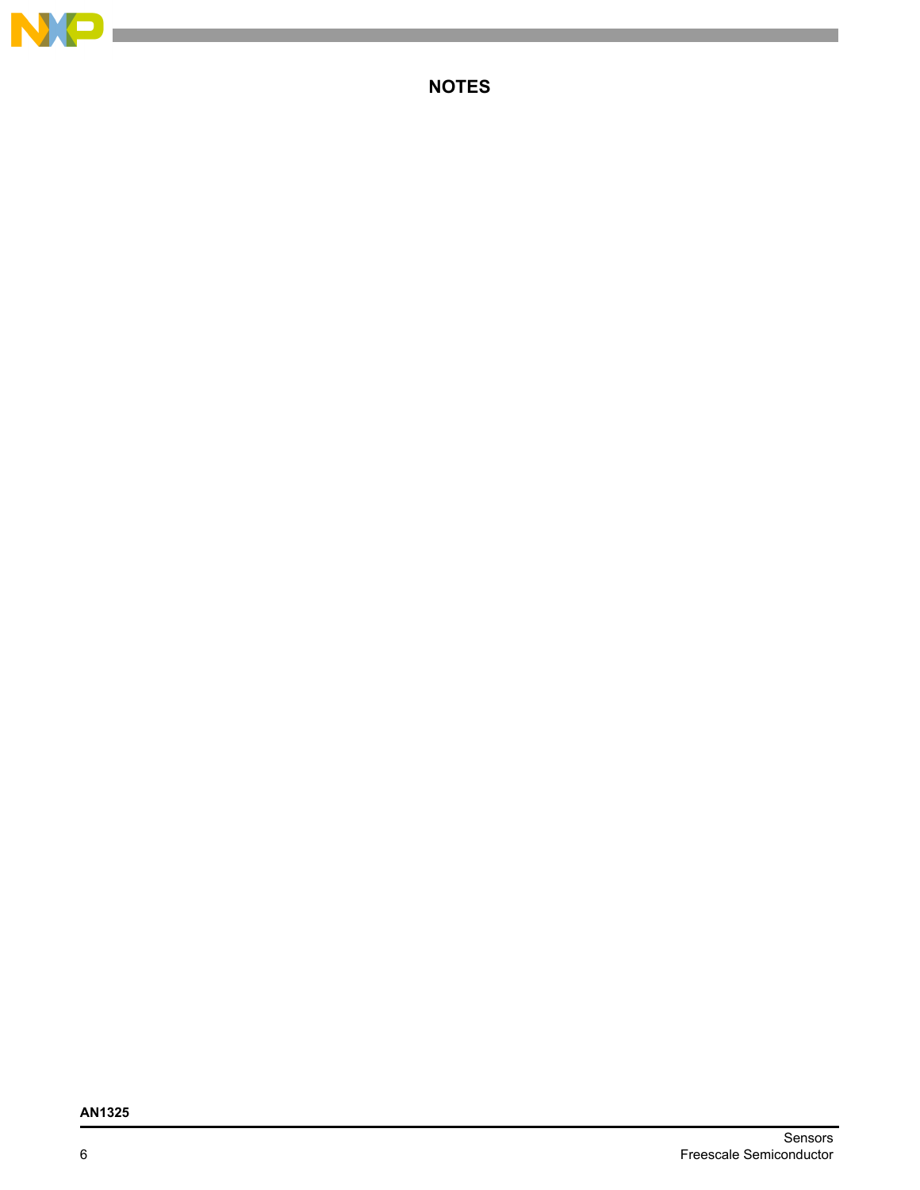

**NOTES**

# **AN1325**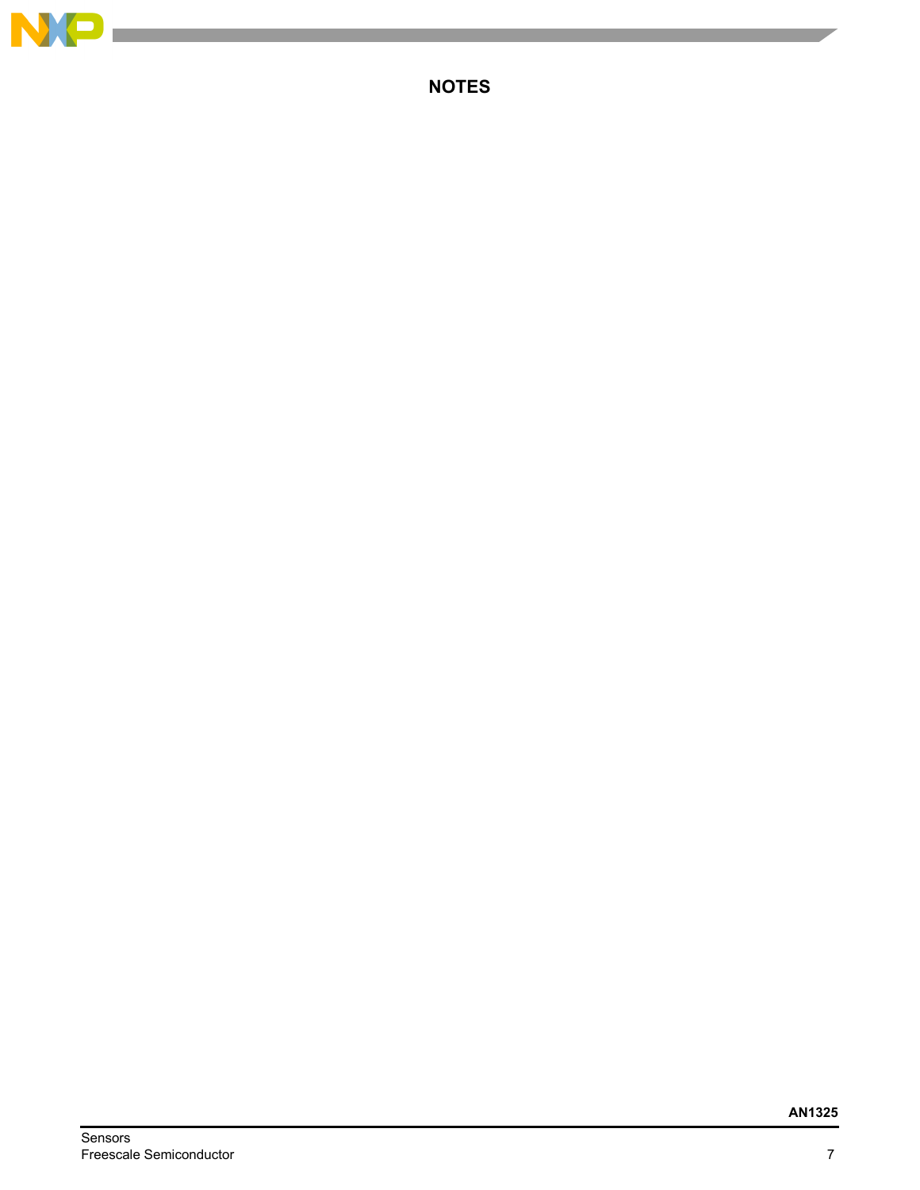

**College** 

**NOTES**